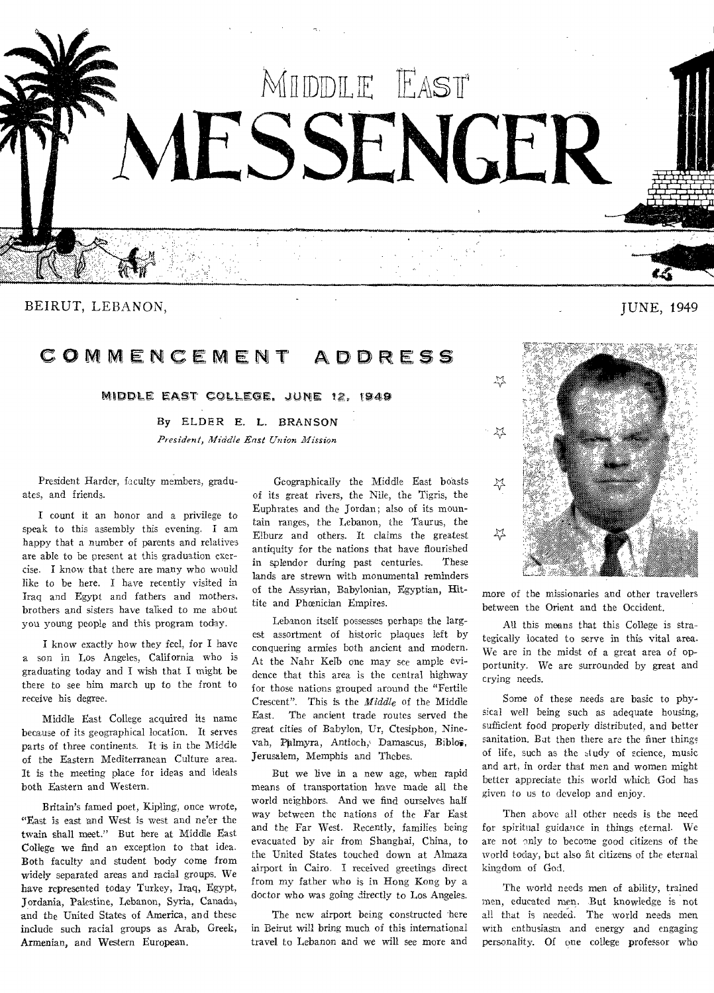

BEIRUT, LEBANON, 2008. IN EXAMPLE 2008. IN EXAMPLE 2008. IN EXAMPLE 2009. IN EXAMPLE 2014. IN EXAMPLE 2014. IN EXAMPLE 2014. IN EXAMPLE 2014. IN EXAMPLE 2014. IN EXAMPLE 2014. IN EXAMPLE 2014. IN EXAMPLE 2014. IN EXAMPLE 2

# COMMENCEMENT ADDRESS

MIDDLE EAST COLLEGE. JUNE 12. 1949

**By ELDER E.** L. BRANSON *President, Middle East Union Mission* 

President Harder, faculty members, graduates, and friends.

I count it an honor and a privilege to speak to this assembly this evening. I am happy that a number of parents and **relatives**  are able to be present at this graduation exercise. I know that there are many who would like to be here. I have recently visited in Iraq and Egypt and fathers and mothers, brothers and sisters have talked to me about you young people and this program today.

I know exactly bow they feel, for I have a son in Los Angeles, California who is graduating today and I wish that I might be there to see him march up to the front to receive his degree.

Middle East College acquired its name because of its geographical location. It serves parts of three continents. It is in the Middle of the Eastern Mediterranean Culture area. It is the meeting place for ideas and ideals both Eastern and Western.

Britain's famed poet, Kipling, once wrote, "East is east and West is west and ne'er the twain shall meet." But here at Middle East College we find an exception to that idea. Both faculty and student body come from widely separated areas and racial groups. We have represented today Turkey, Iraq, Egypt, Jordania, Palestine, Lebanon, Syria, Canadi, and the United States of America, and these include such racial groups as Arab, Greek, **Armenian, and Western European.** 

Geographically the Middle East boasts of its great rivers, the Nile, the Tigris, the Euphrates and the Jordan; also of its mountain ranges, the Lebanon, the Taurus, the Elburz and others. It claims the greatest antiquity for the nations that have flourished **in** splendor during past centuries. These lands are strewn with monumental reminders of the Assyrian, Babylonian, Egyptian, Hittite and Phoenician Empires.

Lebanon itself possesses perhaps the largest assortment of historic plaques left by conquering armies both ancient and modern. At the Nahr Keib one may see ample evidence that this area is the central highway for those nations grouped around the "Fertile Crescent". This is the *Middle* of the Middle East. The ancient trade routes served the great cities of Babylon, Ur, Ctesiphon, Ninevah, Palmyra, Antioch, Damascus, Biblos, Jerusalem, Memphis and Thebes.

But we live in a new age, when rapid means of transportation have made all the world neighbors. And we find ourselves half way between the nations of the Far East and the Far West. Recently, families being evacuated by air from Shanghai, China, to the United States touched down at Almaza airport in Cairo. I received greetings direct from my father who is in Hong Kong by a doctor who was going directly to Los Angeles.

The new airport being constructed here in Beirut will bring much of this international travel to Lebanon and we will see more and



more of the missionaries and other travellers between the Orient and the Occident.

All this moans that this College is strategically located to serve in this vital area. We are in the midst of a great area of opportunity. We are surrounded by great and crying needs.

Some of these needs are basic to physical well being such as adequate housing, sufficient food properly distributed, and better sanitation. Bat then there are the finer things of life, such as the study of science, music and art, in order that men and women might better appreciate this world which God has given to us to develop and enjoy.

Then above all other needs is the need for spiritual guidance in things eternal. We are not only to become good citizens of the world today, but also fit citizens of the eternal kingdom of God.

The world needs men of ability, trained men, educated men. But knowledge is not all that is needed. The world needs men with enthusiasm and energy and engaging personality. Of one college professor who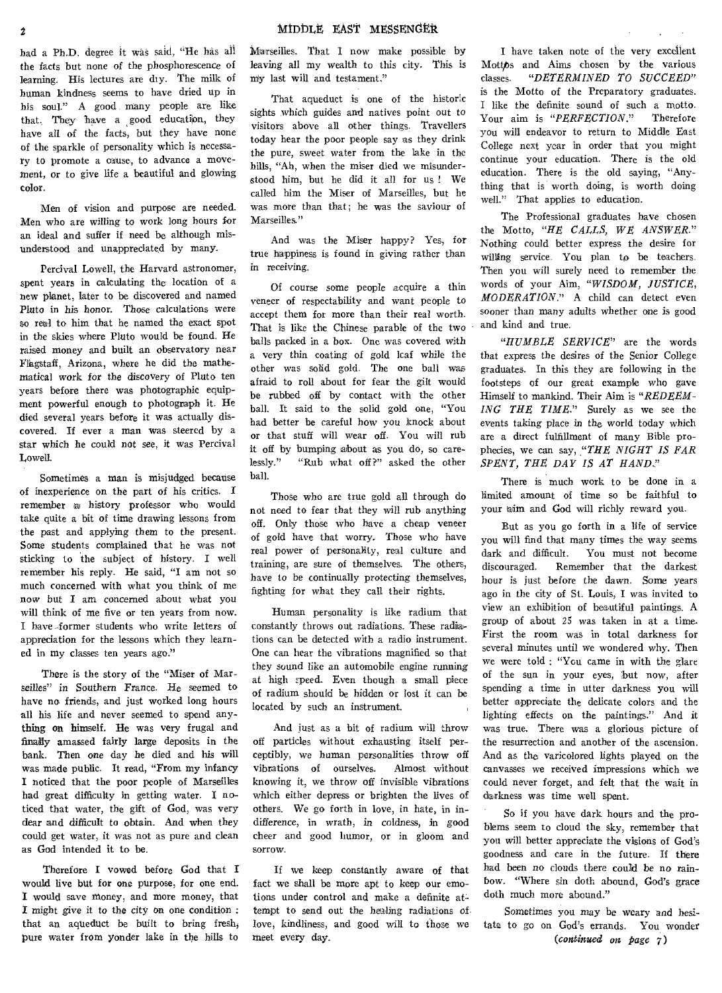had a Ph.D. degree it was said, "He has all the facts but none of the phosphorescence of learning. His lectures are dry. The milk of human kindness seems to have dried up in his soul." A good many people are like that. They have a good education, they have all of the facts, but they have none of the sparkle of personality which is necessary to promote a cause, to advance a movement, or to give life a beautiful and glowing color.

Men of vision and purpose are needed. Men who are willing to work long hours for an ideal and suffer if need be although misunderstood and unappreciated by many\_

Percival Lowell, the Harvard astronomer, spent years in calculating the location of a new planet, later to be discovered and named Pluto in his honor. Those calculations were so real to him that he named the exact spot in the skies where Pluto would be found. He raised money and built an observatory near Flagstaff, Arizona, where he did the mathematical work for the discovery of Pluto ten years before there was photographic equipment powerful enough to photograph it. He died several years before it was actually discovered. If ever a man was steered by a star which he could not see, it was Percival Lowell.

Sometimes a man is misjudged because of inexperience on the part of his critics. remember a history professor who would take quite a bit of time drawing lessons from the past and applying them to the present. Some students complained that he was not sticking to the subject of history. I well remember his reply. He said, "I am not so much concerned with what you think of me now but I am concerned about what you will think of me five or ten years from now. I have former students who write letters of appreciation for the lessons which they learned in my classes ten years ago."

There is the story of the "Miser of Marseilles" in Southern France. He seemed to have no friends, and just worked long hours all his life and never seemed to spend anything on himself. He was very frugal and finally amassed fairly large deposits in the bank. Then one day he died and his will was made public. It read, "From my infancy I noticed that the poor people of Marseilles had great difficulty in getting water. I noticed that water, the gift of God, was very dear and difficult to obtain. And when they could get water, it was not as pure and clean as God intended it to be.

Therefore I vowed before God that I would live but for one purpose, for one end. I would save money, and more money, that I might *give it* to the city on one condition : that an aqueduct be built to bring fresh pure water from yonder lake in the hills to

Marseilles. That I now make possible by *leaving* all my wealth to this city. This is my last will and testament."

That aqueduct is one of the historic sights which guides and natives point out to visitors above all other things. Travellers today hear the poor people say as they drink the pure, sweet water from the lake in the hills, "Ah, when the miser died we misunderstood him, but he did it all for us ! We called him the Miser of Marseilles, but he was more than that; he was the saviour of Marseilles."

And was the Miser happy? Yes, for true happiness is found in giving rather than in receiving.

Of course some people acquire a thin veneer of respectability and want people to accept them for more than their real worth. That is like the Chinese parable of the two balls packed in a box. One was covered with a very thin coating of gold leaf while the other was solid gold. The one ball was afraid to roll about for fear the gilt would be rubbed off by contact with the other ball. It said to the solid gold one, "You had better be careful how you knock about or that stuff will wear off. You will rub it off by bumping about as you do, so carelessly." "Rub what off ?" asked the other ball.

Those who are true gold all through do not need to fear that they will rub anything off. Only those who have a cheap veneer of gold have that worry. Those who have real power of personality, real culture and training, are sure of themselves. The others, have to be continually protecting themselves, fighting for what they call their rights.

Human personality is like radium that constantly throws out radiations. These radiations can be detected with a radio instrument. One can hear the vibrations magnified so that they sound like an automobile engine running at high speed.. Even though a small piece of radium should be hidden or lost it can be located by such an instrument.

And just as a bit of radium will throw off particles without exhausting itself perceptibly, we human personalities throw off<br>vibrations of ourselves. Almost without vibrations of ourselves. knowing it, we throw off invisible vibrations which either depress or brighten the lives of others. We go forth in love, in hate, in indifference, in wrath, in coldness, in good cheer and good humor, or in gloom and sorrow.

If we keep constantly aware of that fact we shall be more apt to keep our emotions under control and make a definite attempt to send out the healing radiations of love, kindliness, and good will to those we meet every day.

I have taken note of the very excellent Mottos and Aims chosen by the various classes. *"DETERMINED TO SUCCEED"*  is the Motto of the Preparatory graduates. I like the definite sound of such a motto. Your aim is "PERFECTION." Therefore you will endeavor to return to Middle East College next year in order that you might continue your education. There is the old education. There is the old saying, "Anything that is worth doing, is worth doing well." That applies to education.

The Professional graduates have chosen the Motto, *"HE CALLS, WE ANSWER."*  Nothing could better express the desire for willing service. You plan to be teachers. Then you will surely need to remember the words of your Aim, *"WISDOM, JUSTICE, MODERATION."* A child can detect even sooner than many adults whether one is good and kind and true.

*"HUMBLE SERVICE"* are the words that express the desires of the Senior College graduates. In this they are following in the footsteps of our great example who gave Himself to mankind. Their Aim is *"REDEEM-ING THE TIME."* Surely as we see the *events* taking place in the world today which are a direct fulfillment of many Bible prophecies, we can say, "THE NIGHT IS FAR *SPENT, THE DAY IS AT HAND.."* 

There is much work to be done in a limited amount of time so be faithful to your aim and God will richly reward you.

But as you go forth in a life of service you will find that many times the way seems dark and difficult. You must not become discouraged. Remember that the darkest hour is just before the dawn. Some years ago in the city of St. Louis, I was invited to view an exhibition of beautiful paintings. A group of about 25 was taken in at a time. First the room was in total darkness for several minutes until we wondered why. Then we were told : "Ycu came in with the glare of the sun in your eyes, but now, after spending a time in utter darkness you will better appreciate the delicate colors and the lighting effects on the paintings." And it was true. There was a glorious picture of the resurrection and another of the ascension. And as the varicolored lights played on the canvasses we received impressions which we could never forget, and felt that the wait in darkness was time well spent.

So if you have dark hours and the problems seem to cloud the sky, remember that you will better appreciate the visions of God's goodness and care in the future. If there had been *no* clouds there could be no rainbow. "Where sin doth abound, God's grace doth much more abound."

Sometimes you may be weary and hesitate to go on God's errands. You wonder *(continued on Page 7)*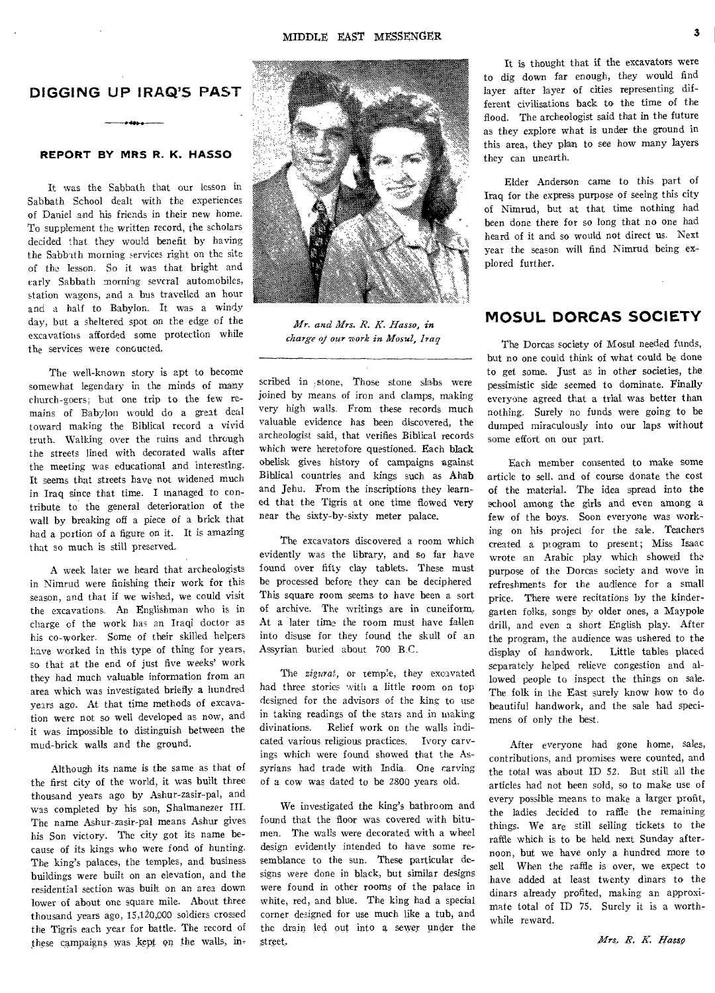# **DIGGING UP IRAQ'S PAST**

## **REPORT BY MRS R. K. HASSO**

It was the Sabbath that, our lesson in Sabbath School dealt with the experiences of Daniel and his friends in their new home. To supplement the written record, the scholars decided that they would benefit by having the Sabbath morning services right on the site of the lesson. So it was that bright and early Sabbath morning several automobiles, station wagons, and a bus travelled an hour and a half to Babylon. It was a windy day, but a sheltered spot on the edge of the excavations afforded some protection while the services were conoucted.

The well-known story is apt to become somewhat legendary in the minds of many church-goers; but one trip to the few remains of Babylon would do a great deal toward making the Biblical record a vivid truth. Walking over the ruins and through the streets lined with decorated walls after the meeting was educational and interesting. It seems that streets have not widened much in Iraq since that time. I managed to contribute to the general deterioration of the wall by breaking off a piece of a brick that had a portion of a figure on it. It is amazing that so much is still preserved.

A week later we heard that archeologists in Nimrud were finishing their work for this season, and that if we wished, we could visit the excavations. An Englishman who is in charge of the work has an Iraqi doctor as his co-worker. Some of their skilled helpers have worked in this type of thing for years, so that at the end of just five weeks' work they had much valuable information from an area which was investigated briefly a hundred years ago. At that time methods of excavation were not so well developed as now, and it was impossible to distinguish between the mud-brick walls and the ground.

Although its name is the same as that of the first city of the world, it was built three thousand years ago by Ashur-zasir-pal, and was completed by his son, Shalmanezer III. The name Ashur-zasir-pal means Ashur gives his Son victory. The city got its name because of its kings who were fond of hunting. The king's palaces, the temples, and business buildings were built on an elevation, and the residential section was built on an area down lower of about one square mile. About three thousand years ago, 15,120,000 soldiers crossed the Tigris each year for battle. The record of these campaigns was kept on the walls, in-



*Mr. and Mrs. 1?. K. Hasso,* in *charge of our work in Mosul, Iraq* 

scribed in ,stone, Those stone slabs were joined by means of iron and clamps, making very high walls. From these records much valuable evidence has been discovered, the archeologist said, that verifies Biblical records which were heretofore questioned. Each black obelisk gives history of campaigns against Biblical countries and kings such as Ahab and Jehu. From the inscriptions they learned that the Tigris at one time flowed very near the sixty-by-sixty meter palace.

The excavators discovered a room which evidently was the library, and so far have found over fifty clay tablets. These must be processed before they can be deciphered This square room seems to have been a sort of archive. The writings are in cuneiform, At a later time the room must have fallen into disuse for they found the skull of an Assyrian buried about 700 B.C.

The *zigurat,* or temple, they excavated had three stories with a little room on top designed for the advisors of the king to use in taking readings of the stars and in making divinations. Relief work on the walls indicated various religious practices. Ivory carvings which were found showed that the Assyrians had trade with India. One carving of a cow was dated to be 2800 years old.

We investigated the king's bathroom and found that the floor was covered with bitumen. The walls were decorated with a wheel design evidently intended to have some resemblance to the sun. These particular designs were done in black, but similar designs were found in other rooms of the palace in white, red, and blue. The king had a special corner designed for use much like a tub, and the drain led out into a sewer under the street,

It is thought that if the excavators were to dig down far enough, they would find layer after layer of cities representing different civilisations back to the time of the flood. The archeologist said that in the future as they explore what is under the ground in this area, they plan to see how many layers they can unearth.

Elder Anderson came to this part of Iraq for the express purpose of seeing this city of Nimrud, but at that time nothing had been done there for so long that no one had heard of it and so would not direct us. Next year the season will find Nimrud being explored further.

# **MOSUL DORCAS SOCIETY**

The Dorcas society of Mosul needed funds, but no one could think of what could be done to get some. Just as in other societies, the pessimistic side seemed to dominate. Finally everyone agreed that a trial was better than nothing. Surely no funds were going to be dumped miraculously into our laps without some effort on our part.

Each member consented to make some article to sell, and of course donate the cost of the material. The idea spread into the school among the girls and even among a few of the boys. Soon everyone was working on his project for the sale. Teachers created a program to present; Miss Isaac wrote an Arabic play which showed the purpose of the Dorcas society and wove in refreshments for the audience for a small price. There were recitations by the kindergarten folks, songs by older ones, a Maypole drill, and even a short English play. After the program, the audience was ushered to the display of handwork. Little tables placed separately helped relieve congestion and allowed people to inspect the things on sale. The folk in the East surely know how to do beautiful handwork, and the sale had specimens of only the best.

After everyone had gone home, sales, contributions, and promises were counted, and the total was about ID 52. But still all the articles had not been sold, so to make use of every possible means to make a larger profit, the ladies decided to raffle the remaining things. We are still selling tickets to the raffle which is to be held next Sunday afternoon, but we have only a hundred more to sell When the raffle is over, we expect to have added at least twenty dinars to the dinars already profited, making an approximate total of ID 75. Surely it is a worthwhile reward.

Mrs. R. K. Hasso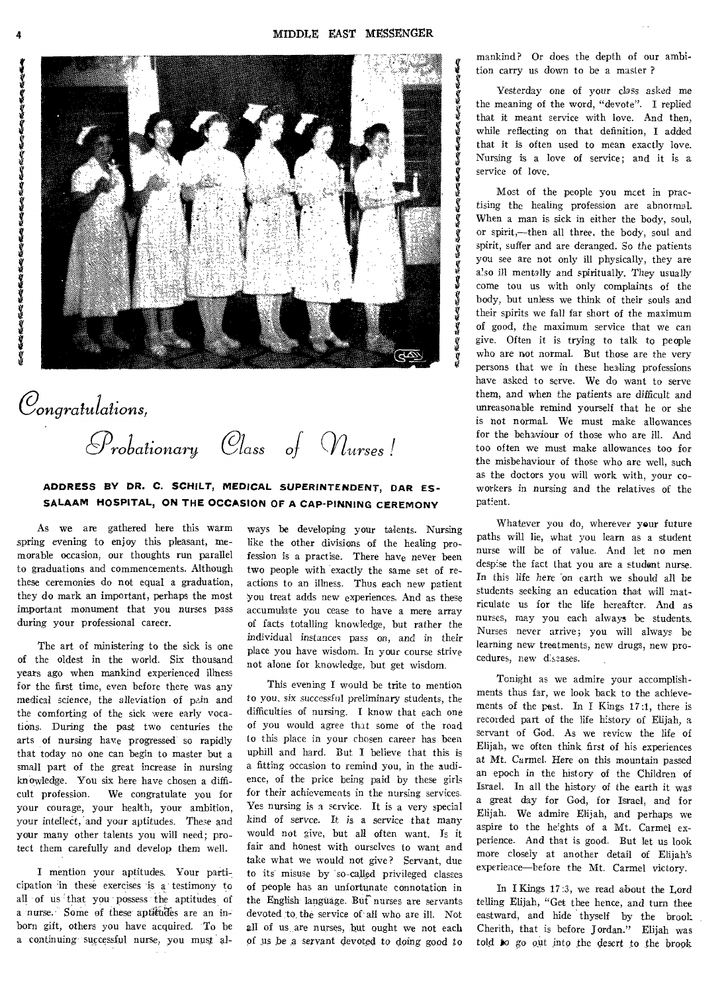Ý. Ý Ø. Ý. V. Ý. S ė. V. Ý. ě. S S M.

Ý. Ý. S Ý. Ý.



*angratulations, Probationary Class of Murses!* 

## **ADDRESS BY DR. C. SCHILT, MEDICAL SUPERINTENDENT, DAR ES-SALAAM HOSPITAL, ON THE OCCASION OF A CAP-PINNING CEREMONY**

**As we are gathered here this warm spring evening to enjoy this pleasant, memorable occasion, our thoughts run parallel to graduations and commencements. Although these ceremonies do not equal a graduation, they do mark an important, perhaps the most important monument that you nurses pass during your professional career.** 

**The art of ministering to the sick is one of the oldest in the world. Six thousand years ago when mankind experienced illness for the first time, even before there was any**  medical science, the alleviation of pain and **the comforting of the sick were early vocations. During the past two centuries the arts of nursing have progressed so rapidly that today no one can begin to master but a small part of the great increase in nursing knOwledge. You six here have chosen a difficult profession. We congratulate you for your courage, your health, your ambition,**  your intellect, and your aptitudes. These and **your many other talents you will need; protect them carefully and develop them well.** 

**I mention your aptitudes. Your participation in these exercises 'is a testimony to**  all of us that you possess the aptitudes of a nurse. Some of these aptitudes are an inborn gift, others you have acquired. To be **a continuing- successful nurse, you must al-**

**ways be developing your talents. Nursing like the other divisions of the healing profession is a practise. There have never been two people with exactly the same set of reactions to an illness. Thus each new patient you treat adds new experiences. And as these accumulate you cease to have a mere array of facts totalling knowledge, but rather the individual instances pass** *on, and* **in their place you have wisdom. In your course strive not alone for knowledge, but get wisdom.** 

**This evening I would be trite to mention to you, six successful preliminary students, the difficulties of nursing. I know that each one of you would agree that some of the road to this place in your chosen career has been**  up**hill and hard. But I believe that this is a fitting occasion to remind you, in the audience, of the price being paid by these girls for their achievements in the nursing services**. **Yes nursing is a service. It is a very special kind of** *servce.* **It,** *is* **a service that many would not give, but all often want. Is it fair and honest with ourselves to want and take what we would not give? Servant, due to its misuse by "so-called privileged classes of people has an unfortunate connotation in the English language. But nurses are servants devoted Ito, the service of all who are ill. Not all of us are nurses, but ought we not each of us be a servant devoted to** *doing* **good to** 

**mankind? Or does the depth of our ambition carry us down to be a master ?** 

**Yesterday one of your** *class* **asked me the meaning of the word, "devote". I replied that it meant service with love. And then, while reflecting on that definition, I added that it is often used to mean exactly love. Nursing is a love of service; and it is a service of love.** 

**Most of the people you meet in practising the healing profession are abnormal. When a man is sick in either the body, soul, or spirit,--then all three, the body, soul and spirit, suffer and are deranged. So the patients you see are not only ill physically, they are**  *also ill* **mentally and spiritually. They usually come tou us with only complaints of the body, but unless we think of their souls and their spirits we fall far short of the maximum of good, the maximum service that we can give. Often it is trying to talk to people who are not normal. But those are the very persons that we in these heading professions have asked to serve. We do want to serve them, and when the patients are difficult and unreasonable remind yourself that he or she is not normal. We must make allowances for the behaviour of those who are ill. And too often we must make allowances too for the misbehaviour of those who are well, such as the doctors you will work with, your coworkers in nursing and the relatives of the patient.** 

**Whatever you do, wherever your future paths will lie, what you learn as a student nurse will be of value. And let no men despise the fact that you are a student nurse. In this life here 'on earth we should all be students seeking an education that will matriculate us for the life hereafter. And as nurses, may you each always be students. Nurses never arrive; you will always be learning new treatments, new drugs, new procedures, new diseases.** 

**Tonight as we admire your accomplishments thus far, we look back to the achievements of the past. In I Kings 17:1, there is recorded part of the life history of Elijah, a servant of God. As we review the life of Elijah, we often think first of his experiences at Mt. Carmel. Here on this mountain passed an epoch in the history of the Children of Israel. In all the history of the earth it was a great day for God, for Israel, and for Elijah. We admire Elijah, and perhaps we aspire to the heights of a Mt. Carmel experience. And that is good. But let us look more closely at another detail of Elijah's experience—before the Mt. Carmel victory.** 

**In I Kings 17:3, we read about the Lord telling Elijah, "Get thee hence, and turn thee eastward, and hide thyself by the brook Cherith, that is before Jordan." Elijah was**  told **to** go out into the desert to the brook

**4**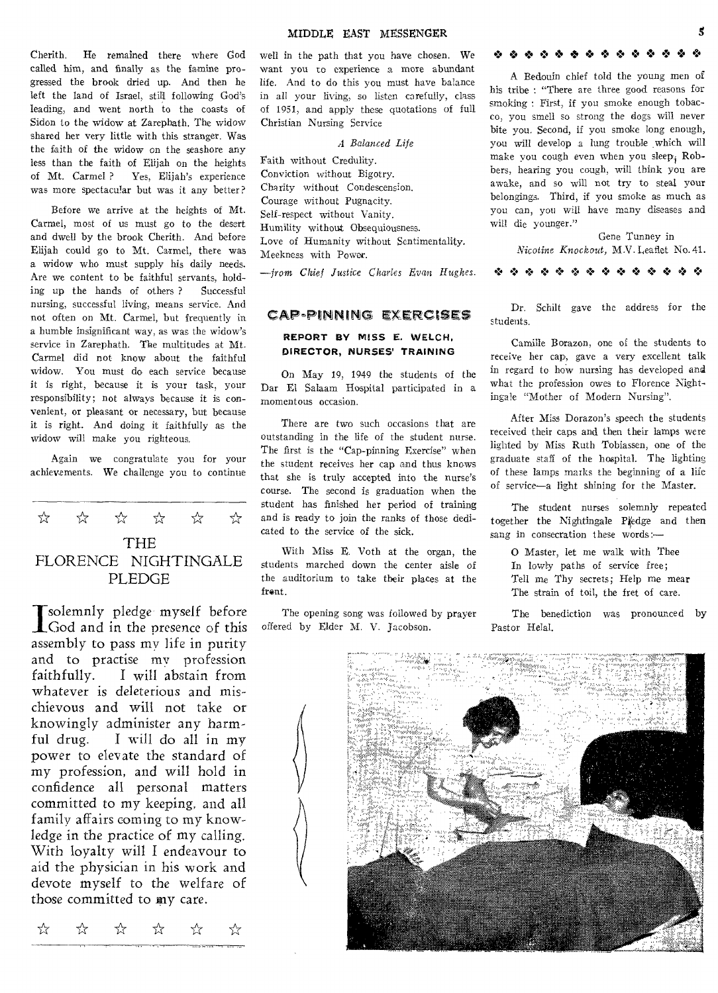Cherith. He remained there where God called him, and finally as the famine progressed the brook dried up. And then he left the land of Israel, still following God's leading, and went north to the coasts of Sidon to the widow at Zarephath. The widow shared her very little with this stranger. Was the faith of the widow on the seashore any less than the faith of Elijah on the heights of Mt. Carmel ? Yes, Elijah's experience was more spectacular but was it any better?

Before we arrive at the heights of Mt. Carmel, most of us must go to the desert and dwell by the brook Cherith. And before Elijah could go to Mt. Carmel, there was a widow who must supply his daily needs. Are we content to be faithful servants, holding up the hands of others ? Successful nursing, successful living, means service. And not often on Mt. Carmel, but frequently in a humble insignificant way, as was the widow's service in Zarephath. The multitudes at Mt. Carmel did not know about the faithful widow. You must do each service because it is right, because it is your task, your responsibility; not always because it is convenient, or pleasant or necessary, but because it is right. And doing it faithfully as the widow will make you righteous.

Again we congratulate you for your achievements. We challenge you to continue



Tsolemnly pledge myself before God and in the presence of this assembly to pass my life in purity and to practise my profession faithfully. I will abstain from whatever is deleterious and mischievous and will not take or knowingly administer any harmful drug. I will do all in my power to elevate the standard of my profession, and will hold in confidence all personal matters committed to my keeping, and all family affairs coming to my knowledge in the practice of my calling. With loyalty will I endeavour to aid the physician in his work and devote myself to the welfare of those committed to my care.

 $\overrightarrow{x}$   $\overrightarrow{x}$   $\overrightarrow{x}$   $\overrightarrow{x}$   $\overrightarrow{x}$ ☆

well in the path that you have chosen. We want you to experience a more abundant life. And to do this you must have balance in all your living, so listen carefully, class of 1951, and apply these quotations of full Christian Nursing Service

## *A Balanced Life*

Faith without Credulity. Conviction without Bigotry. Charity without Condescension. Courage without Pugnacity. Self-respect without Vanity. Humility without Obsequiousness. Love of Humanity without Sentimentality. Meekness with Power.

*--from Chief Justice Charles* Evan *Hughes.* 

### CAP-PINNIMG EXERctSES

## **REPORT BY MISS E. WELCH, DIRECTOR, NURSES' TRAINING**

On May 19, 1949 the students of the Dar El Salaam Hospital participated in a momentous occasion.

There are two such occasions that are outstanding in the life of the student nurse. The first is the "Cap-pinning Exercise" when the student receives her cap and thus knows that she is truly accepted into the nurse's course. The second is graduation when the student has finished her period of training and is ready to join the ranks of those dedicated to the service of the sick.

With Miss E. Voth at the organ, the students marched down the center aisle of the auditorium to take their places at the frent.

The opening song was followed by prayer offered by Elder M. V. Jacobson.

### *0 0 0 0 0 0 0 0* 0 0 0 0

A Bedouin chief told the young men of his tribe : "There are three good reasons for smoking : First, if you smoke enough tobacco, you smell so strong the dogs will never bite you. Second, if you smoke long enough, you will develop a lung trouble which will make you cough even when you sleep,  $Rob$ bers, hearing you cough, will think you are awake, and so will not try to steal your belongings. Third, if you smoke as much as you can, you will have many diseases and will die younger."

Gene Tunney in Nicotine *Knockout,* M.V. Leaflet No. 41.

•.14 • •:• •:\* 1.• • 'I', .7.\*

Dr. Schilt gave the address for the students.

Camille Borazon, one of the students to receive her cap, gave a very excellent talk in regard to how nursing has developed and what the profession owes to Florence Nightingale "Mother of Modern Nursing".

After Miss Dorazon's speech the students received their caps and then their lamps were lighted by Miss Ruth Tobiassen, one of the graduate staff of the hospital. The lighting of these lamps marks the beginning of a life of service—a light shining for the Master.

The student nurses solemnly repeated together the Nightingale Piedge and then sang in consecration these words:-

0 Master, let me walk with Thee In lowly paths of service free; Tell me Thy secrets; Help me mear The strain of toil, the fret of care.

The benediction was pronounced by Pastor Helal.

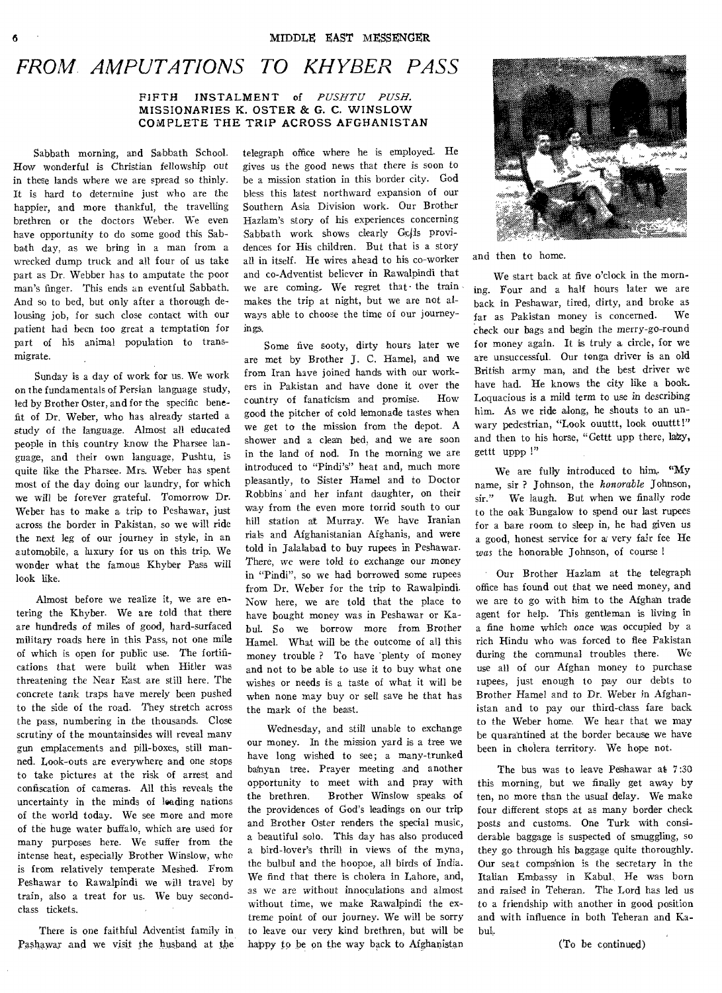# *FROM. AMPUTATIONS TO KHYBER PASS*

### **FIFTH INSTALMENT of** *PUSHTU PUSH.*  **MISSIONARIES K. OSTER & G. C. WINSLOW COMPLETE THE TRIP ACROSS AFGHANISTAN**

Sabbath morning, and Sabbath School. How wonderful is Christian fellowship out in these lands where we are spread so thinly. It is hard to determine just who are the happier, and more thankful, the travelling brethren or the doctors Weber. We even have opportunity to do some good this Sabbath day, as we bring in a man from a wrecked dump truck and all four of us take part as Dr. Webber has to amputate the poor man's finger. This ends an eventful Sabbath. And so to bed, but only after a thorough delousing job, for such close contact with our patient had been too great a temptation for part of his animal population to transmigrate.

• Sunday is a day of work for us. We work on the fundamentals of Persian language study, led by Brother Oster, and for the specific benefit of Dr. Weber, who has already started a study of the language. Almost all educated people in this country know the Pharsee language, and their own language, Pushtu, is quite like the Pharsee. Mrs. Weber has spent most of the day doing our laundry, for which we will be forever grateful. Tomorrow **Dr.**  Weber has to make a trip to Peshawar, just across the border in Pakistan, so we will ride the next leg of our journey in style, in an automobile, a luxury for us on this trip. We wonder what the famous Khyber Pass will look like.

Almost before we realize it, we are entering the Khyber. We are told that there are hundreds of miles of good, hard-surfaced military roads here in this Pass, not one mile of which is open for public use. The fortifications that were built when Hitler was threatening the Near East are still here. The concrete tank traps have merely been pushed to the side of the road. They stretch across the pass, numbering in the thousands. Close scrutiny of the mountainsides will reveal many gun emplacements and pill-boxes, still manned. Look-outs are everywhere and one stops to take pictures at the risk of arrest and confiscation of cameras. All this reveals the uncertainty in the minds of loading nations of the world today. We see more and more of the huge water buffalo, which are used for many purposes here. We suffer from the intense heat, especially Brother Winslow, who is from relatively temperate Meshed. From Peshawar to Rawalpindi we will travel by train, also a treat for us. We buy secondclass tickets.

There is one faithful Adventist family in Paslaawar and we visit the husband at the telegraph office where he is employed. He gives us the good news that there is soon to be a mission station in this border city. God bless this latest northward expansion of our Southern Asia Division work. Our Brother Hazlam's story of his experiences concerning Sabbath work shows clearly Gcjls providences for His children. But that is a story all in itself. He wires ahead to his co-worker and co-Adventist believer in Rawalpindi that we are coming. We regret that the train makes the trip at night, but we are not always able to choose the time of our journeyings.

Some five sooty, dirty hours later we are met by Brother J. C. Hamel, and we from Iran have joined hands with our workers in Pakistan and have done it over the country of fanaticism and promise. How good the pitcher of cold lemonade tastes when we get to the mission from the depot. A shower and a clean bed, and we are soon in the land of nod. In the morning we are introduced to "Pindi's" heat and, much more pleasantly, to Sister Hamel and to Doctor Robbins and her infant daughter, on their way from the even more torrid south to our hill station at Murray. We have Iranian rials and Afghanistanian Afghanis, and were told in Jalalabad to buy rupees in Peshawar. There, we were told to exchange our money **in** "Pindi", so we had borrowed some rupees from Dr. Weber for the trip to Rawalpindi. Now here, we are told that the place to have bought money was in Peshawar or Kabul. So we borrow more from Brother Hamel. What will be the outcome of all this money trouble ? To have 'plenty of money and not to be able to use it to buy what one wishes or needs is a taste of what it will be when none may buy or sell save he that has the mark of the beast.

Wednesday, and still unable to exchange our money. In the mission yard is a tree we have long wished to see; a many-trunked bafnyan tree. Prayer meeting and another opportunity to meet with and pray with<br>the brethren. Brother Winslow speaks of Brother Winslow speaks of the providences of God's leadings on our trip and Brother Oster renders the special music, a beautiful solo. This day has also produced a bird-lover's thrill in views of the myna, the bulbul and the hoopoe, all birds of India. We find that there is cholera in Lahore, and, as we are without innoculations and almost without time, we make Rawalpindi the extreme point of our journey. We will be sorry to leave our very kind brethren, but will be happy to be on the way back to Afghanistan



and then to home.

We start back at five o'clock in the morning. Four and a half hours later we are back in Peshawar, tired, dirty, and broke as far as Pakistan money is concerned. We check our bags and *begin* the merry-go-round for money again. It is truly a circle, for **we are unsuccessful. Our tonga driver is an old British army man, and the best driver we have had. He knows the city like a book. Loquacious is a mild term to use in describing him. As we ride along, he shouts to an unwary pedestrian, "Look ouuttt, look ouuttt !"**  and then to his horse, "Gettt upp there, lazy, **gettt uppp I"** 

**We are fully introduced to him,. "My name, sir ? Johnson, the** *honorable* **Johnson, sir." We laugh. But when we finally rode to the oak Bungalow to spend our last rupees for a bare room to sleep in, he had given us a good, honest service for a very fair fee He**  *was* the honorable Johnson, of course

Our Brother Hazlam at the telegraph office has found out that we need money, and we are to go with him to the Afghan trade agent for help. This gentleman is living in a fine home which once was occupied by a rich Hindu who was forced to flee Pakistan during the communal troubles there. We use all of our Afghan money to purchase rupees, just enough to pay our debts to Brother Hamel and to **Dr. Weber in Afghanistan and to pay our third-class fare back**  to the Weber home. We hear that we may be quarantined at the border because we have been in cholera territory. We hope not.

The bus was to leave Peshawar at 7:30 this morning, but we finally get away by ten, no more than the usual delay. We make four different stops at as many border check posts and customs. One Turk with considerable baggage is suspected of smuggling, so they go through his baggage quite thoroughly. Our seat companion is the secretary in the Italian Embassy in Kabul. He was born and raised in Teheran. The Lord has led us to a friendship with another in good position and with influence in both Teheran and Kabul.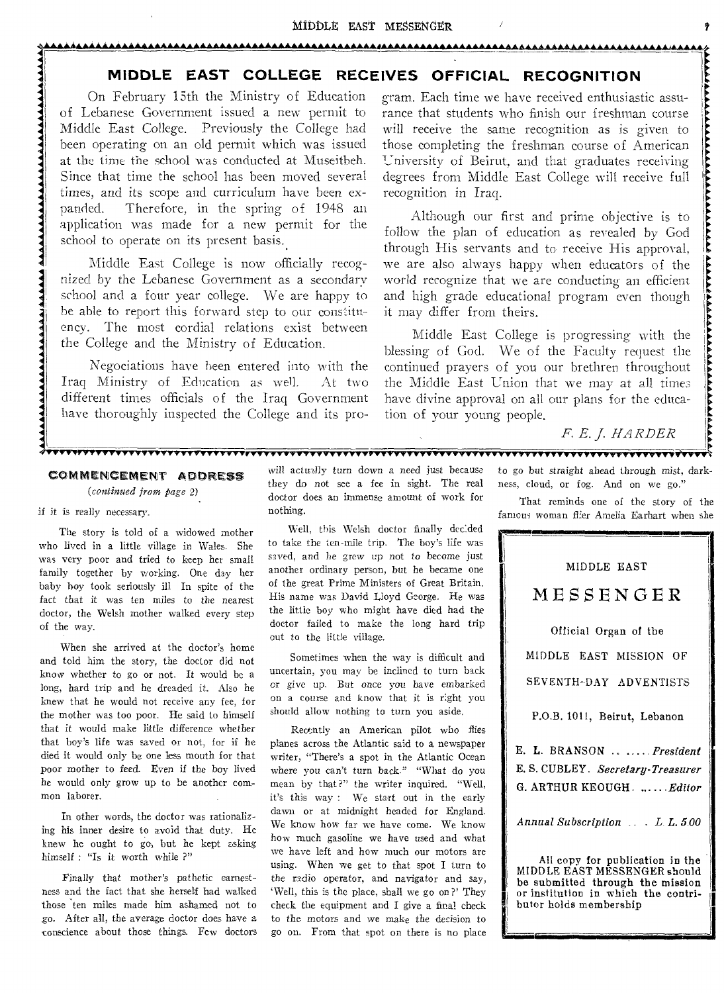#### MIDDLE EAST MESSENGER

# **MIDDLE EAST COLLEGE RECEIVES OFFICIAL RECOGNITION**

**A.AAAAAAAAAAAAAAAAAAAAAAAAAAAAAAAAAAAAAAAAAAAAAAAA1** 

On February 15th the Ministry of Education of Lebanese Government issued a new permit to Middle East College. Previously the College had been operating on an old permit which was issued at the time the school was conducted at Museitbeh. Since that time the school has been moved several times, and its scope and curriculum have been expanded. Therefore, in the spring of 1948 an application was made for a new permit for the school to operate on its present basis.

Middle East College is now officially recognized by the Lebanese Government as a secondary school and a four year college. We are happy to be able to report this forward step to our constituency. The most cordial relations exist between the College and the Ministry of Education.

Negociations have been entered into with the Iraq Ministry of Education as well. At two different times officials of the Iraq Government have thoroughly inspected the College and its program. Each time we have received enthusiastic assurance that students who finish our freshman course will receive the same recognition as is given to those completing the freshman course of American University of Beirut, and that graduates receiving degrees from Middle East College will receive full recognition in Iraq.

Although our first and prime objective is to follow the plan of education as revealed by God through His servants and to receive His approval, we are also always happy when educators of the world recognize that we are conducting an efficient and high grade educational program even though it may differ from theirs.

Middle East College is progressing with the blessing of God. We of the Faculty request the continued prayers of you our brethren throughout the Middle East Union that we may at all times have divine approval on all our plans for the education of your young people.

# F. E. J. HARDER

## COMMENCEMENT ADDRESS

*(continued from page* 2).

#### if it is really necessary.

The story is told of a widowed mother who lived in a little village in Wales. She was very poor and tried to keep her small family together by working. One day her baby boy took seriously ill In spite of the fact that it was ten miles to the nearest doctor, the Welsh mother walked every step of the way.

When she arrived at the doctor's home and told him the story, the doctor did not know whether to go or not. It would be a long, hard trip and he dreaded it. Also he knew that he would not receive any fee, for the mother was too poor. He said to himself that it would make little difference whether that boy's life was saved or not, for if he died it would only be one less mouth for that poor mother to feed. Even if the boy lived he would only grow up to be another common laborer.

In other words, the doctor was rationalizing his inner desire to avoid that duty. He knew he ought to go, but he kept asking himself : "Is it worth while ?"

Finally that mother's pathetic earnestness and the fact that she herself had walked those 'ten miles made him ashamed not to go. After all, the average doctor does have a conscience about those things. Few doctors

will actually turn down a need just because they do not see a fee in sight. The real doctor does an immense amount of work for nothing.

Well, this Welsh doctor finally decided to take the ten-mile trip. The boy's life was saved, and he grew up not to become just another ordinary person, but he became one of the great Prime Ministers of Great Britain. His name was David Lloyd George. He was the little boy who might have died had the doctor failed to make the long hard trip out to the little village.

Sometimes when the way is difficult and uncertain, you may be inclined to turn back or give up. But once *you* have embarked on a course and know that it is right you should allow nothing to turn you aside.

Recently an American pilot who flies planes across the Atlantic said to a newspaper writer, "There's a spot in the Atlantic Ocean where you can't turn back." "What do you mean by that?" the writer inquired. "Well, it's this way : We start out in the early dawn or at midnight headed for England. We know how far we have come. We know how much gasoline we have used and what we have left and how much our motors are using. When we get to that spot I turn to the radio operator, and navigator and say, `Well, this is the place, shall we go on?' They check the equipment and I give a final check to the motors and we make the decision to go on. From that spot on there is no place

to go but straight ahead through *mist,* darkness, cloud, or fog. And on we go."

That reminds one of the story of the famous woman flier Amelia Earhart when she

**111111.1111MINIMONII** 

# MIDDLE EAST MESSENGER

Official Organ of the MIDDLE EAST MISSION OF SEVENTH-DAY ADVENTISTS

P.O.B. 1011, Beirut, Lebanon

E. L. BRANSON .... *President*  E. S. CUBLEY. *Secretary-Treasurer*  G. ARTHUR KEOUGH. .....*Editor* 

*Annual Subscription . . L. L. 5.00* 

All copy for publication in the MIDDLE EAST MESSENGER should be submitted through the mission or institution in which the contributor holds membership

I<br>Isaacaan ah